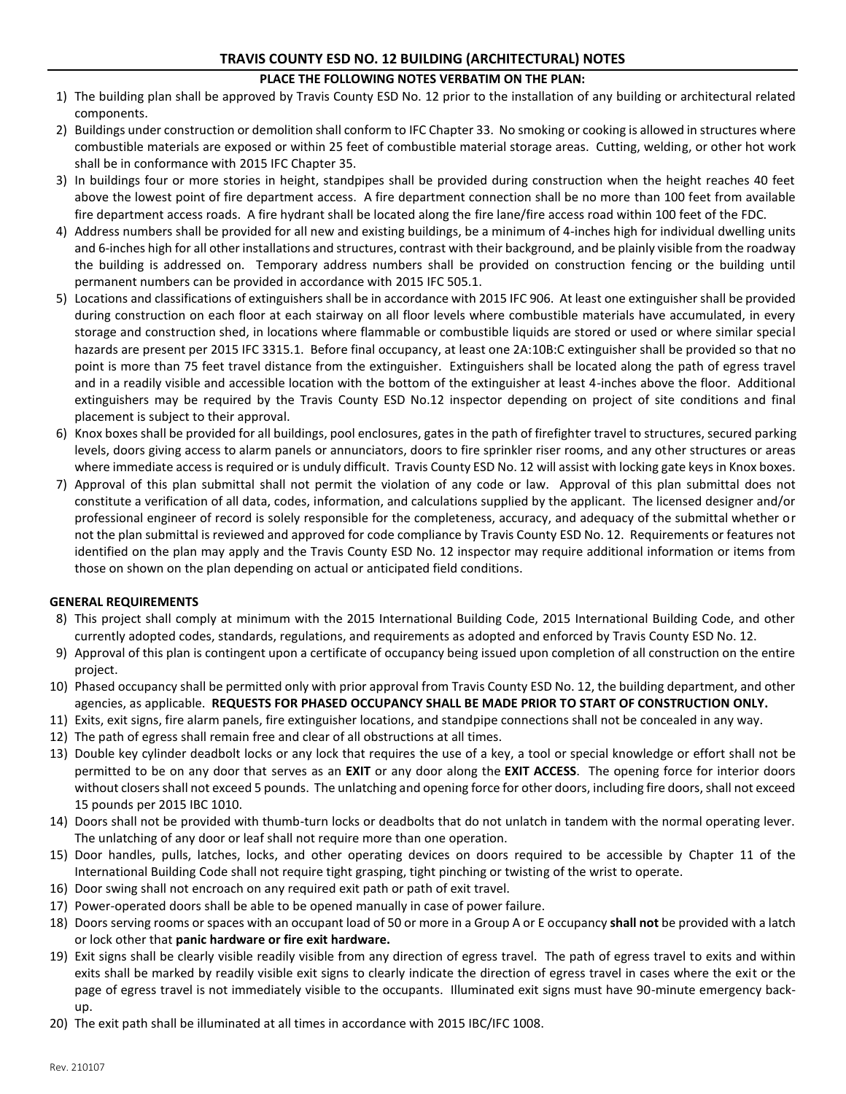# **TRAVIS COUNTY ESD NO. 12 BUILDING (ARCHITECTURAL) NOTES**

## **PLACE THE FOLLOWING NOTES VERBATIM ON THE PLAN:**

- 1) The building plan shall be approved by Travis County ESD No. 12 prior to the installation of any building or architectural related components.
- 2) Buildings under construction or demolition shall conform to IFC Chapter 33. No smoking or cooking is allowed in structures where combustible materials are exposed or within 25 feet of combustible material storage areas. Cutting, welding, or other hot work shall be in conformance with 2015 IFC Chapter 35.
- 3) In buildings four or more stories in height, standpipes shall be provided during construction when the height reaches 40 feet above the lowest point of fire department access. A fire department connection shall be no more than 100 feet from available fire department access roads. A fire hydrant shall be located along the fire lane/fire access road within 100 feet of the FDC.
- 4) Address numbers shall be provided for all new and existing buildings, be a minimum of 4-inches high for individual dwelling units and 6-inches high for all other installations and structures, contrast with their background, and be plainly visible from the roadway the building is addressed on. Temporary address numbers shall be provided on construction fencing or the building until permanent numbers can be provided in accordance with 2015 IFC 505.1.
- 5) Locations and classifications of extinguishers shall be in accordance with 2015 IFC 906. At least one extinguisher shall be provided during construction on each floor at each stairway on all floor levels where combustible materials have accumulated, in every storage and construction shed, in locations where flammable or combustible liquids are stored or used or where similar special hazards are present per 2015 IFC 3315.1. Before final occupancy, at least one 2A:10B:C extinguisher shall be provided so that no point is more than 75 feet travel distance from the extinguisher. Extinguishers shall be located along the path of egress travel and in a readily visible and accessible location with the bottom of the extinguisher at least 4-inches above the floor. Additional extinguishers may be required by the Travis County ESD No.12 inspector depending on project of site conditions and final placement is subject to their approval.
- 6) Knox boxes shall be provided for all buildings, pool enclosures, gates in the path of firefighter travel to structures, secured parking levels, doors giving access to alarm panels or annunciators, doors to fire sprinkler riser rooms, and any other structures or areas where immediate access is required or is unduly difficult. Travis County ESD No. 12 will assist with locking gate keys in Knox boxes.
- 7) Approval of this plan submittal shall not permit the violation of any code or law. Approval of this plan submittal does not constitute a verification of all data, codes, information, and calculations supplied by the applicant. The licensed designer and/or professional engineer of record is solely responsible for the completeness, accuracy, and adequacy of the submittal whether or not the plan submittal is reviewed and approved for code compliance by Travis County ESD No. 12. Requirements or features not identified on the plan may apply and the Travis County ESD No. 12 inspector may require additional information or items from those on shown on the plan depending on actual or anticipated field conditions.

#### **GENERAL REQUIREMENTS**

- 8) This project shall comply at minimum with the 2015 International Building Code, 2015 International Building Code, and other currently adopted codes, standards, regulations, and requirements as adopted and enforced by Travis County ESD No. 12.
- 9) Approval of this plan is contingent upon a certificate of occupancy being issued upon completion of all construction on the entire project.
- 10) Phased occupancy shall be permitted only with prior approval from Travis County ESD No. 12, the building department, and other agencies, as applicable. **REQUESTS FOR PHASED OCCUPANCY SHALL BE MADE PRIOR TO START OF CONSTRUCTION ONLY.**
- 11) Exits, exit signs, fire alarm panels, fire extinguisher locations, and standpipe connections shall not be concealed in any way.
- 12) The path of egress shall remain free and clear of all obstructions at all times.
- 13) Double key cylinder deadbolt locks or any lock that requires the use of a key, a tool or special knowledge or effort shall not be permitted to be on any door that serves as an **EXIT** or any door along the **EXIT ACCESS**. The opening force for interior doors without closers shall not exceed 5 pounds. The unlatching and opening force for other doors, including fire doors, shall not exceed 15 pounds per 2015 IBC 1010.
- 14) Doors shall not be provided with thumb-turn locks or deadbolts that do not unlatch in tandem with the normal operating lever. The unlatching of any door or leaf shall not require more than one operation.
- 15) Door handles, pulls, latches, locks, and other operating devices on doors required to be accessible by Chapter 11 of the International Building Code shall not require tight grasping, tight pinching or twisting of the wrist to operate.
- 16) Door swing shall not encroach on any required exit path or path of exit travel.
- 17) Power-operated doors shall be able to be opened manually in case of power failure.
- 18) Doors serving rooms or spaces with an occupant load of 50 or more in a Group A or E occupancy **shall not** be provided with a latch or lock other that **panic hardware or fire exit hardware.**
- 19) Exit signs shall be clearly visible readily visible from any direction of egress travel. The path of egress travel to exits and within exits shall be marked by readily visible exit signs to clearly indicate the direction of egress travel in cases where the exit or the page of egress travel is not immediately visible to the occupants. Illuminated exit signs must have 90-minute emergency backup.
- 20) The exit path shall be illuminated at all times in accordance with 2015 IBC/IFC 1008.